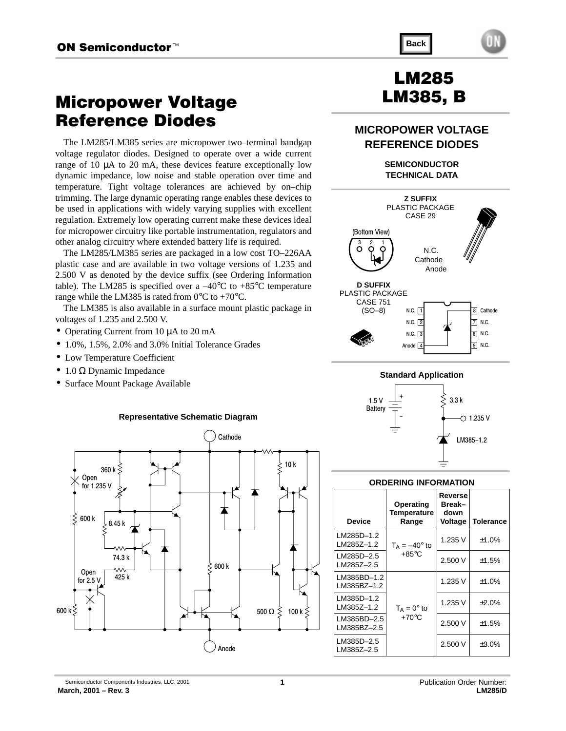# Micropower Voltage Reference Diodes

The LM285/LM385 series are micropower two–terminal bandgap voltage regulator diodes. Designed to operate over a wide current range of 10 µA to 20 mA, these devices feature exceptionally low dynamic impedance, low noise and stable operation over time and temperature. Tight voltage tolerances are achieved by on–chip trimming. The large dynamic operating range enables these devices to be used in applications with widely varying supplies with excellent regulation. Extremely low operating current make these devices ideal for micropower circuitry like portable instrumentation, regulators and other analog circuitry where extended battery life is required.

The LM285/LM385 series are packaged in a low cost TO–226AA plastic case and are available in two voltage versions of 1.235 and 2.500 V as denoted by the device suffix (see Ordering Information table). The LM285 is specified over a  $-40^{\circ}$ C to  $+85^{\circ}$ C temperature range while the LM385 is rated from  $0^{\circ}$ C to +70 $^{\circ}$ C.

The LM385 is also available in a surface mount plastic package in voltages of 1.235 and 2.500 V.

- Operating Current from 10  $\mu$ A to 20 mA
- 1.0%, 1.5%, 2.0% and 3.0% Initial Tolerance Grades
- Low Temperature Coefficient
- 1.0  $\Omega$  Dynamic Impedance
- Surface Mount Package Available



# LM285 LM385, B

**Back**

### **MICROPOWER VOLTAGE REFERENCE DIODES**

**SEMICONDUCTOR TECHNICAL DATA**





#### **ORDERING INFORMATION**

| <b>Device</b>              | Operating<br>Temperature<br>Range | Reverse<br>Break-<br>down<br>Voltage | <b>Tolerance</b> |
|----------------------------|-----------------------------------|--------------------------------------|------------------|
| LM285D-1.2<br>LM285Z-1.2   | $T_A = -40^\circ$ to              | 1.235 V                              | ±1.0%            |
| LM285D-2.5<br>LM285Z-2.5   | $+85^{\circ}$ C                   | 2.500 V                              | ±1.5%            |
| LM385BD-1.2<br>LM385BZ-1.2 |                                   | 1.235 V                              | ±1.0%            |
| LM385D-1.2<br>LM385Z-1.2   | $T_A = 0^\circ$ to                | 1.235 V                              | $+2.0%$          |
| LM385BD-2.5<br>LM385BZ-2.5 | $+70^{\circ}$ C                   | 2.500 V                              | ±1.5%            |
| LM385D-2.5<br>LM385Z-2.5   |                                   | 2.500 V                              | $±3.0\%$         |

Anode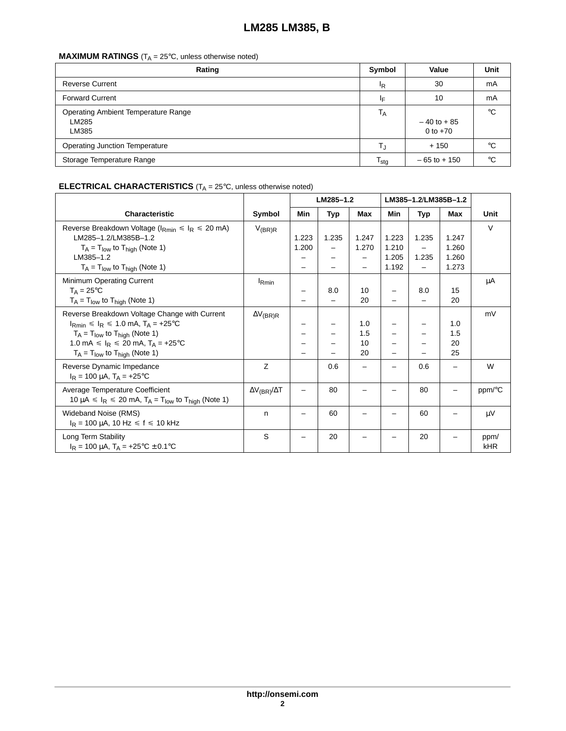### **MAXIMUM RATINGS**  $(T_A = 25^\circ \text{C}, \text{ unless otherwise noted})$

| Rating                                                       | Symbol                      | Value                        | Unit         |
|--------------------------------------------------------------|-----------------------------|------------------------------|--------------|
| <b>Reverse Current</b>                                       | ΙŖ                          | 30                           | mA           |
| <b>Forward Current</b>                                       | ΙF                          | 10                           | mA           |
| <b>Operating Ambient Temperature Range</b><br>LM285<br>LM385 | $T_A$                       | $-40$ to $+85$<br>0 to $+70$ | $^{\circ}$ C |
| <b>Operating Junction Temperature</b>                        | Т.,                         | $+150$                       | °C           |
| Storage Temperature Range                                    | $\mathsf{T}_{\mathsf{stg}}$ | $-65$ to $+150$              | $^{\circ}C$  |

### **ELECTRICAL CHARACTERISTICS** (T<sub>A</sub> = 25°C, unless otherwise noted)

|                                                                                                                                                                                                                                    |                            | LM285-1.2      |       | LM385-1.2/LM385B-1.2   |                                  |                            |                                  |             |
|------------------------------------------------------------------------------------------------------------------------------------------------------------------------------------------------------------------------------------|----------------------------|----------------|-------|------------------------|----------------------------------|----------------------------|----------------------------------|-------------|
| <b>Characteristic</b>                                                                                                                                                                                                              | Symbol                     | Min            | Typ   | Max                    | Min                              | Typ                        | Max                              | Unit        |
| Reverse Breakdown Voltage ( $I_{\rm Rmin} \le I_{\rm R} \le 20$ mA)<br>LM285-1.2/LM385B-1.2<br>$T_A = T_{low}$ to $T_{high}$ (Note 1)<br>LM385-1.2<br>$T_A = T_{low}$ to $T_{high}$ (Note 1)                                       | $V_{(BR)R}$                | 1.223<br>1.200 | 1.235 | 1.247<br>1.270         | 1.223<br>1.210<br>1.205<br>1.192 | 1.235<br>1.235<br>$\equiv$ | 1.247<br>1.260<br>1.260<br>1.273 | $\vee$      |
| Minimum Operating Current<br>$T_A = 25^{\circ}C$<br>$T_A = T_{low}$ to $T_{high}$ (Note 1)                                                                                                                                         | $I_{Rmin}$                 |                | 8.0   | 10<br>20               | $\overline{\phantom{0}}$         | 8.0                        | 15<br>20                         | μA          |
| Reverse Breakdown Voltage Change with Current<br>$I_{Rmin} \le I_R \le 1.0$ mA, $T_A = +25$ °C<br>$T_A = T_{low}$ to $T_{high}$ (Note 1)<br>1.0 mA $\leq l_R \leq 20$ mA, $T_A = +25$ °C<br>$T_A = T_{low}$ to $T_{high}$ (Note 1) | $\Delta V_{(BR)R}$         |                |       | 1.0<br>1.5<br>10<br>20 |                                  |                            | 1.0<br>1.5<br>20<br>25           | mV          |
| Reverse Dynamic Impedance<br>$I_R = 100 \mu A$ , $T_A = +25^{\circ}C$                                                                                                                                                              | Z                          |                | 0.6   |                        |                                  | 0.6                        |                                  | W           |
| Average Temperature Coefficient<br>10 $\mu$ A $\leq$ I <sub>R</sub> $\leq$ 20 mA, T <sub>A</sub> = T <sub>low</sub> to T <sub>high</sub> (Note 1)                                                                                  | $\Delta V_{(BR)}/\Delta T$ |                | 80    |                        |                                  | 80                         |                                  | ppm/°C      |
| Wideband Noise (RMS)<br>$I_R$ = 100 µA, 10 Hz $\le f \le 10$ kHz                                                                                                                                                                   | n                          |                | 60    |                        |                                  | 60                         |                                  | μV          |
| Long Term Stability<br>$I_R = 100 \mu A$ , $T_A = +25^{\circ}C \pm 0.1^{\circ}C$                                                                                                                                                   | S                          |                | 20    |                        |                                  | 20                         |                                  | ppm/<br>kHR |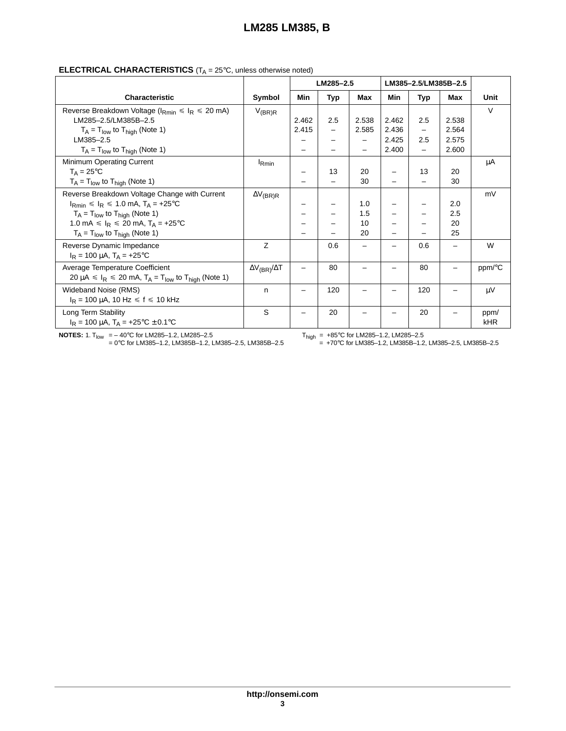|                                                           |                 | LM285-2.5 |     | LM385-2.5/LM385B-2.5 |       |                          |       |      |
|-----------------------------------------------------------|-----------------|-----------|-----|----------------------|-------|--------------------------|-------|------|
| <b>Characteristic</b>                                     | <b>Symbol</b>   | Min       | Typ | Max                  | Min   | Typ                      | Max   | Unit |
| Reverse Breakdown Voltage ( $I_{Rmin} \le I_R \le 20$ mA) | $V_{(\sf BR)R}$ |           |     |                      |       |                          |       | V    |
| LM285-2.5/LM385B-2.5                                      |                 | 2.462     | 2.5 | 2.538                | 2.462 | 2.5                      | 2.538 |      |
| $T_A = T_{low}$ to $T_{high}$ (Note 1)                    |                 | 2.415     | -   | 2.585                | 2.436 | $\overline{\phantom{0}}$ | 2.564 |      |
| MOOE OF                                                   |                 |           |     |                      | 0.105 | ົ                        | 2.575 |      |

#### **ELECTRICAL CHARACTERISTICS** (T<sub>A</sub> = 25°C, unless otherwise noted)

| Reverse Breakdown Voltage ( $I_{Rmin} \le I_R \le 20$ mA)                                                      | $V_{(BR)R}$                |       |                          |       |       |                          |       | $\vee$ |
|----------------------------------------------------------------------------------------------------------------|----------------------------|-------|--------------------------|-------|-------|--------------------------|-------|--------|
| LM285-2.5/LM385B-2.5                                                                                           |                            | 2.462 | 2.5                      | 2.538 | 2.462 | 2.5                      | 2.538 |        |
| $T_A = T_{low}$ to $T_{high}$ (Note 1)                                                                         |                            | 2.415 | $\overline{\phantom{0}}$ | 2.585 | 2.436 | -                        | 2.564 |        |
| LM385-2.5                                                                                                      |                            |       |                          |       | 2.425 | 2.5                      | 2.575 |        |
| $T_A = T_{low}$ to $T_{high}$ (Note 1)                                                                         |                            |       |                          |       | 2.400 | $\overline{\phantom{0}}$ | 2.600 |        |
| Minimum Operating Current                                                                                      | <sup>I</sup> Rmin          |       |                          |       |       |                          |       | μA     |
| $T_A = 25$ °C                                                                                                  |                            |       | 13                       | 20    |       | 13                       | 20    |        |
| $T_A = T_{low}$ to $T_{high}$ (Note 1)                                                                         |                            |       |                          | 30    |       |                          | 30    |        |
| Reverse Breakdown Voltage Change with Current                                                                  | $\Delta V_{\sf (BR)R}$     |       |                          |       |       |                          |       | mV     |
| $I_{Rmin} \le I_R \le 1.0$ mA, $T_A = +25$ °C                                                                  |                            |       |                          | 1.0   |       |                          | 2.0   |        |
| $T_A = T_{low}$ to $T_{high}$ (Note 1)                                                                         |                            |       |                          | 1.5   |       |                          | 2.5   |        |
| 1.0 mA $\leq l_R \leq 20$ mA, $T_A = +25$ °C                                                                   |                            |       |                          | 10    |       |                          | 20    |        |
| $T_A = T_{low}$ to $T_{high}$ (Note 1)                                                                         |                            |       |                          | 20    |       |                          | 25    |        |
| Reverse Dynamic Impedance                                                                                      | Z                          |       | 0.6                      |       |       | 0.6                      |       | W      |
| $I_R = 100 \mu A$ , $T_A = +25^{\circ}C$                                                                       |                            |       |                          |       |       |                          |       |        |
| Average Temperature Coefficient                                                                                | $\Delta V_{(BR)}/\Delta T$ |       | 80                       |       |       | 80                       |       | ppm/°C |
| 20 $\mu$ A $\leq$ I <sub>R</sub> $\leq$ 20 mA, T <sub>A</sub> = T <sub>low</sub> to T <sub>high</sub> (Note 1) |                            |       |                          |       |       |                          |       |        |
| Wideband Noise (RMS)                                                                                           | n                          |       | 120                      |       |       | 120                      |       | μV     |
| $I_R$ = 100 µA, 10 Hz $\le f \le 10$ kHz                                                                       |                            |       |                          |       |       |                          |       |        |
| Long Term Stability                                                                                            | S                          |       | 20                       |       |       | 20                       |       | ppm/   |
| $I_R = 100 \mu A$ , $T_A = +25^{\circ}C \pm 0.1^{\circ}C$                                                      |                            |       |                          |       |       |                          |       | kHR    |

**NOTES:** 1.  $T_{low} = -40^{\circ}$ C for LM285–1.2, LM285–2.5<br>= 0°C for LM385–1.2, LM385B–1.2, LM385–2.5, LM385B–2.5

 $T_{\text{high}} = +85^{\circ}\text{C}$  for LM285–1.2, LM285–2.5<br>= +70°C for LM385–1.2, LM385B–1.2, LM385–2.5, LM385B–2.5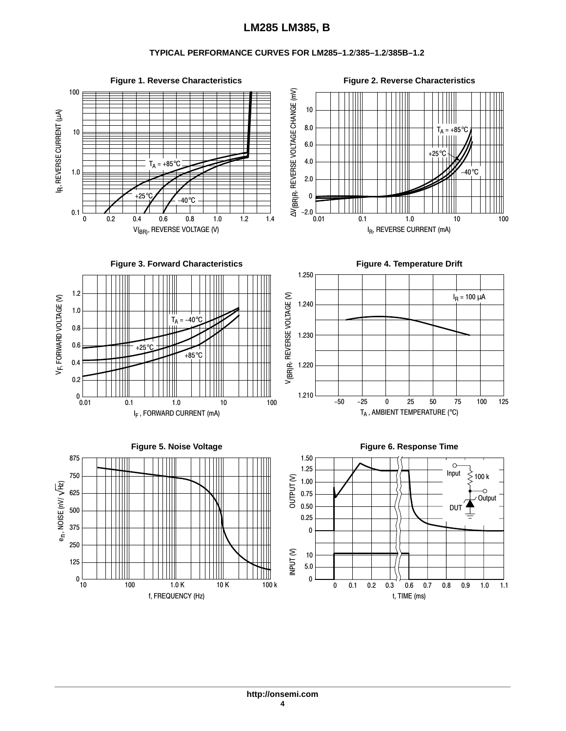#### **TYPICAL PERFORMANCE CURVES FOR LM285–1.2**/**385–1.2**/**385B–1.2**

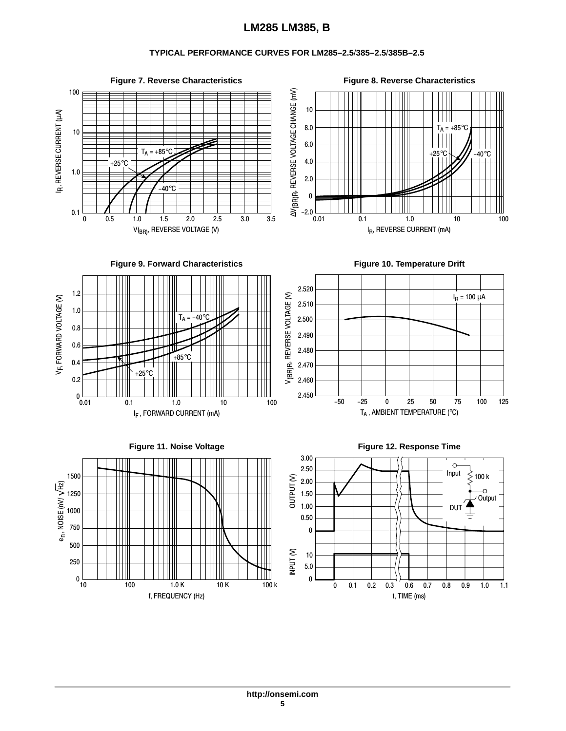#### **TYPICAL PERFORMANCE CURVES FOR LM285–2.5**/**385–2.5**/**385B–2.5**

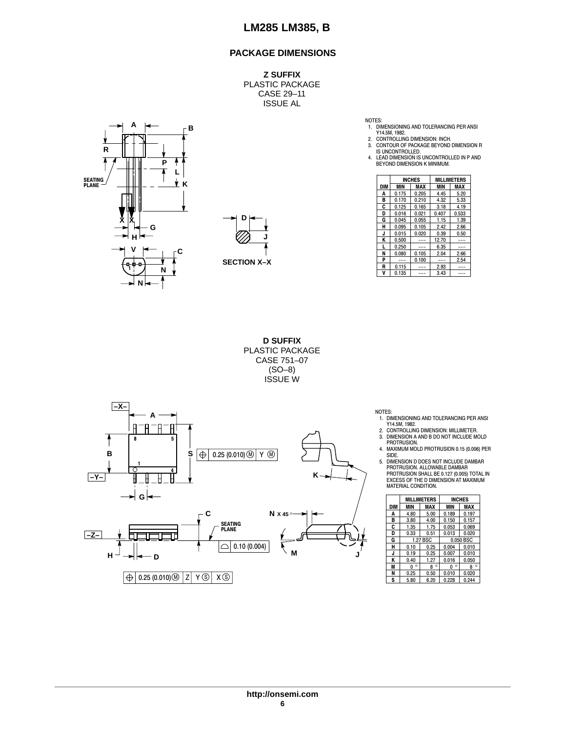#### **PACKAGE DIMENSIONS**

**Z SUFFIX** PLASTIC PACKAGE CASE 29–11 ISSUE AL





NOTES:

1. DIMENSIONING AND TOLERANCING PER ANSI

Y14.5M, 1982. 2. CONTROLLING DIMENSION: INCH. 3. CONTOUR OF PACKAGE BEYOND DIMENSION R IS UNCONTROLLED.

4. LEAD DIMENSION IS UNCONTROLLED IN P AND BEYOND DIMENSION K MINIMUM.

| Ш          |                    |            |            | <b>INCHES</b> |               | <b>MILLIMETERS</b> |
|------------|--------------------|------------|------------|---------------|---------------|--------------------|
| ĸ          |                    | <b>DIM</b> | <b>MIN</b> | <b>MAX</b>    | MIN           | <b>MAX</b>         |
|            |                    | А          | 0.175      | 0.205         | 4.45          | 5.20               |
| J          |                    | в          | 0.170      | 0.210         | 4.32          | 5.33               |
| U          |                    | c          | 0.125      | 0.165         | 3.18          | 4.19               |
|            |                    | D          | 0.016      | 0.021         | 0.407         | 0.533              |
| v<br>⋏     | D                  | G          | 0.045      | 0.055         | 1.15          | 1.39               |
| G          |                    | н          | 0.095      | 0.105         | 2.42          | 2.66               |
|            |                    | J          | 0.015      | 0.020         | 0.39          | 0.50               |
| н.         | u                  | κ          | 0.500      | $\frac{1}{2}$ | 12.70         | ---                |
| v          |                    |            | 0.250      | $---$         | 6.35          | $---$              |
|            |                    | N          | 0.080      | 0.105         | 2.04          | 2.66               |
|            | <b>SECTION X-X</b> | D          | $---$      | 0.100         | $\frac{1}{2}$ | 2.54               |
| -9-8-<br>N |                    | R          | 0.115      | $- - -$       | 2.93          | ---                |
|            |                    | v          | 0.135      | $---$         | 3.43          | ---                |

**D SUFFIX** PLASTIC PACKAGE CASE 751–07 (SO–8) ISSUE W



NOTES:

- 1. DIMENSIONING AND TOLERANCING PER ANSI Y14.5M, 1982.
- 2. CONTROLLING DIMENSION: MILLIMETER. 3. DIMENSION A AND B DO NOT INCLUDE MOLD
- PROTRUSION. 4. MAXIMUM MOLD PROTRUSION 0.15 (0.006) PER

SIDE. 5. DIMENSION D DOES NOT INCLUDE DAMBAR PROTRUSION. ALLOWABLE DAMBAR PROTRUSION SHALL BE 0.127 (0.005) TOTAL IN EXCESS OF THE D DIMENSION AT MAXIMUM MATERIAL CONDITION.

|     |              | <b>MILLIMETERS</b> |              | <b>INCHES</b> |
|-----|--------------|--------------------|--------------|---------------|
| DIM | MIN          | MAX                | <b>MIN</b>   | MAX           |
| A   | 4.80         | 5.00               | 0.189        | 0.197         |
| в   | 3.80         | 4.00               | 0.150        | 0.157         |
| C   | 1.35         | 1.75               | 0.053        | 0.069         |
| D   | 0.33         | 0.51               | 0.013        | 0.020         |
| G   |              | 1.27 BSC           |              | 0.050 BSC     |
| н   | 0.10         | 0.25               | 0.004        | 0.010         |
| J   | 0.19         | 0.25               | 0.007        | 0.010         |
| Κ   | 0.40         | 1.27               | 0.016        | 0.050         |
| M   | $\circ$<br>Λ | $\circ$<br>R       | $\circ$<br>n | $\circ$<br>R  |
| N   | 0.25         | 0.50               | 0.010        | 0.020         |
| S   | 5.80         | 6.20               | 0.228        | 0.244         |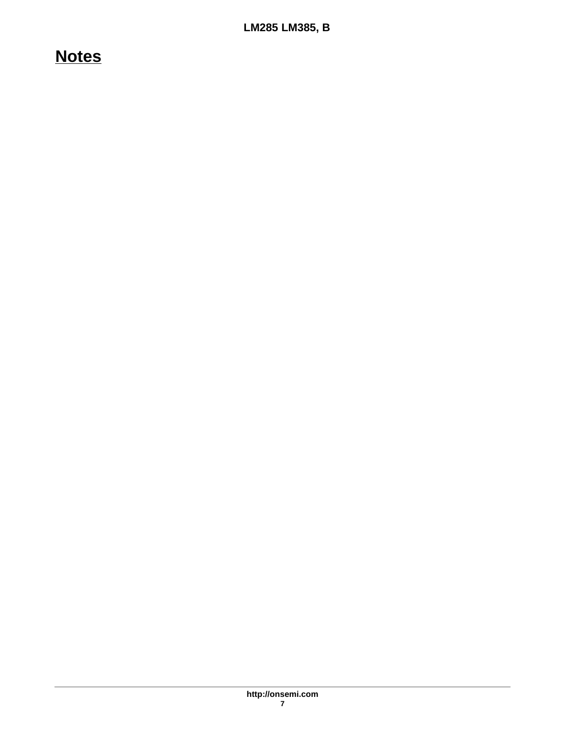# **Notes**